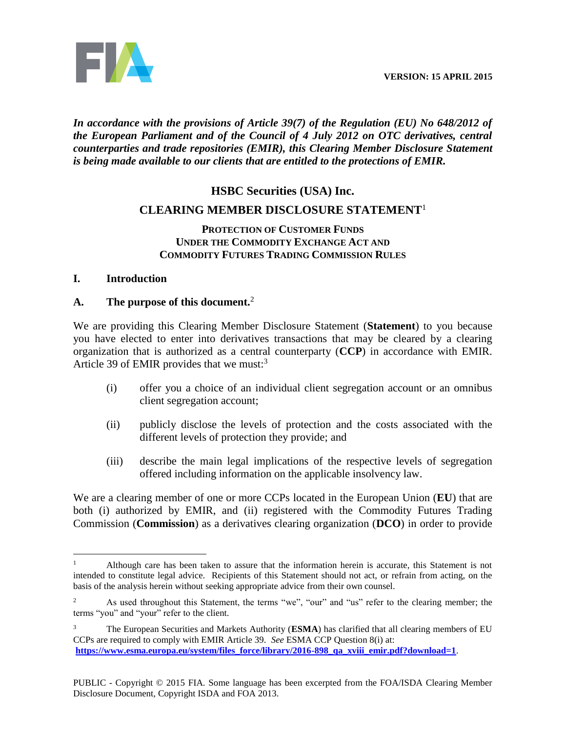**VERSION: 15 APRIL 2015**



# *In accordance with the provisions of Article 39(7) of the Regulation (EU) No 648/2012 of the European Parliament and of the Council of 4 July 2012 on OTC derivatives, central counterparties and trade repositories (EMIR), this Clearing Member Disclosure Statement is being made available to our clients that are entitled to the protections of EMIR.*

# **HSBC Securities (USA) Inc.**

# **CLEARING MEMBER DISCLOSURE STATEMENT**<sup>1</sup>

### **PROTECTION OF CUSTOMER FUNDS UNDER THE COMMODITY EXCHANGE ACT AND COMMODITY FUTURES TRADING COMMISSION RULES**

### **I. Introduction**

 $\overline{a}$ 

# **A. The purpose of this document.** 2

We are providing this Clearing Member Disclosure Statement (**Statement**) to you because you have elected to enter into derivatives transactions that may be cleared by a clearing organization that is authorized as a central counterparty (**CCP**) in accordance with EMIR. Article 39 of EMIR provides that we must: $3$ 

- (i) offer you a choice of an individual client segregation account or an omnibus client segregation account;
- (ii) publicly disclose the levels of protection and the costs associated with the different levels of protection they provide; and
- (iii) describe the main legal implications of the respective levels of segregation offered including information on the applicable insolvency law.

We are a clearing member of one or more CCPs located in the European Union (**EU**) that are both (i) authorized by EMIR, and (ii) registered with the Commodity Futures Trading Commission (**Commission**) as a derivatives clearing organization (**DCO**) in order to provide

<sup>1</sup> Although care has been taken to assure that the information herein is accurate, this Statement is not intended to constitute legal advice. Recipients of this Statement should not act, or refrain from acting, on the basis of the analysis herein without seeking appropriate advice from their own counsel.

As used throughout this Statement, the terms "we", "our" and "us" refer to the clearing member; the terms "you" and "your" refer to the client.

<sup>&</sup>lt;sup>3</sup> The European Securities and Markets Authority (**ESMA**) has clarified that all clearing members of EU CCPs are required to comply with EMIR Article 39. *See* ESMA CCP Question 8(i) at: **[https://www.esma.europa.eu/system/files\\_force/library/2016-898\\_qa\\_xviii\\_emir.pdf?download=1](https://www.esma.europa.eu/system/files_force/library/2016-898_qa_xviii_emir.pdf?download=1)**.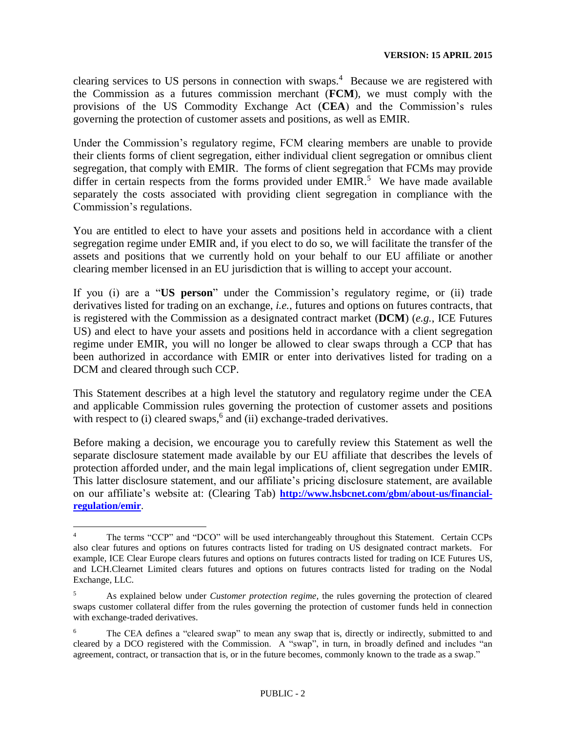clearing services to US persons in connection with swaps.<sup>4</sup> Because we are registered with the Commission as a futures commission merchant (**FCM**), we must comply with the provisions of the US Commodity Exchange Act (**CEA**) and the Commission's rules governing the protection of customer assets and positions, as well as EMIR.

Under the Commission's regulatory regime, FCM clearing members are unable to provide their clients forms of client segregation, either individual client segregation or omnibus client segregation, that comply with EMIR. The forms of client segregation that FCMs may provide differ in certain respects from the forms provided under EMIR.<sup>5</sup> We have made available separately the costs associated with providing client segregation in compliance with the Commission's regulations.

You are entitled to elect to have your assets and positions held in accordance with a client segregation regime under EMIR and, if you elect to do so, we will facilitate the transfer of the assets and positions that we currently hold on your behalf to our EU affiliate or another clearing member licensed in an EU jurisdiction that is willing to accept your account.

If you (i) are a "**US person**" under the Commission's regulatory regime, or (ii) trade derivatives listed for trading on an exchange, *i.e.*, futures and options on futures contracts, that is registered with the Commission as a designated contract market (**DCM**) (*e.g.*, ICE Futures US) and elect to have your assets and positions held in accordance with a client segregation regime under EMIR, you will no longer be allowed to clear swaps through a CCP that has been authorized in accordance with EMIR or enter into derivatives listed for trading on a DCM and cleared through such CCP.

This Statement describes at a high level the statutory and regulatory regime under the CEA and applicable Commission rules governing the protection of customer assets and positions with respect to  $(i)$  cleared swaps,<sup>6</sup> and  $(ii)$  exchange-traded derivatives.

Before making a decision, we encourage you to carefully review this Statement as well the separate disclosure statement made available by our EU affiliate that describes the levels of protection afforded under, and the main legal implications of, client segregation under EMIR. This latter disclosure statement, and our affiliate's pricing disclosure statement, are available on our affiliate's website at: (Clearing Tab) **[http://www.hsbcnet.com/gbm/about-us/financial](http://www.hsbcnet.com/gbm/about-us/financial-regulation/emir)[regulation/emir](http://www.hsbcnet.com/gbm/about-us/financial-regulation/emir)**.

<sup>&</sup>lt;sup>4</sup> The terms "CCP" and "DCO" will be used interchangeably throughout this Statement. Certain CCPs also clear futures and options on futures contracts listed for trading on US designated contract markets. For example, ICE Clear Europe clears futures and options on futures contracts listed for trading on ICE Futures US, and LCH.Clearnet Limited clears futures and options on futures contracts listed for trading on the Nodal Exchange, LLC.

<sup>5</sup> As explained below under *Customer protection regime*, the rules governing the protection of cleared swaps customer collateral differ from the rules governing the protection of customer funds held in connection with exchange-traded derivatives.

<sup>&</sup>lt;sup>6</sup> The CEA defines a "cleared swap" to mean any swap that is, directly or indirectly, submitted to and cleared by a DCO registered with the Commission. A "swap", in turn, in broadly defined and includes "an agreement, contract, or transaction that is, or in the future becomes, commonly known to the trade as a swap."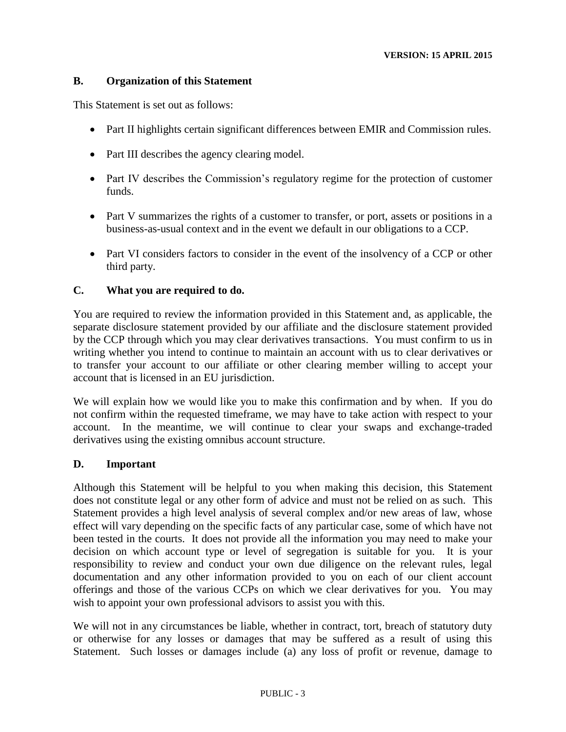### **B. Organization of this Statement**

This Statement is set out as follows:

- Part II highlights certain significant differences between EMIR and Commission rules.
- Part III describes the agency clearing model.
- Part IV describes the Commission's regulatory regime for the protection of customer funds.
- Part V summarizes the rights of a customer to transfer, or port, assets or positions in a business-as-usual context and in the event we default in our obligations to a CCP.
- Part VI considers factors to consider in the event of the insolvency of a CCP or other third party.

### **C. What you are required to do.**

You are required to review the information provided in this Statement and, as applicable, the separate disclosure statement provided by our affiliate and the disclosure statement provided by the CCP through which you may clear derivatives transactions. You must confirm to us in writing whether you intend to continue to maintain an account with us to clear derivatives or to transfer your account to our affiliate or other clearing member willing to accept your account that is licensed in an EU jurisdiction.

We will explain how we would like you to make this confirmation and by when. If you do not confirm within the requested timeframe, we may have to take action with respect to your account. In the meantime, we will continue to clear your swaps and exchange-traded derivatives using the existing omnibus account structure.

#### **D. Important**

Although this Statement will be helpful to you when making this decision, this Statement does not constitute legal or any other form of advice and must not be relied on as such. This Statement provides a high level analysis of several complex and/or new areas of law, whose effect will vary depending on the specific facts of any particular case, some of which have not been tested in the courts. It does not provide all the information you may need to make your decision on which account type or level of segregation is suitable for you. It is your responsibility to review and conduct your own due diligence on the relevant rules, legal documentation and any other information provided to you on each of our client account offerings and those of the various CCPs on which we clear derivatives for you. You may wish to appoint your own professional advisors to assist you with this.

We will not in any circumstances be liable, whether in contract, tort, breach of statutory duty or otherwise for any losses or damages that may be suffered as a result of using this Statement. Such losses or damages include (a) any loss of profit or revenue, damage to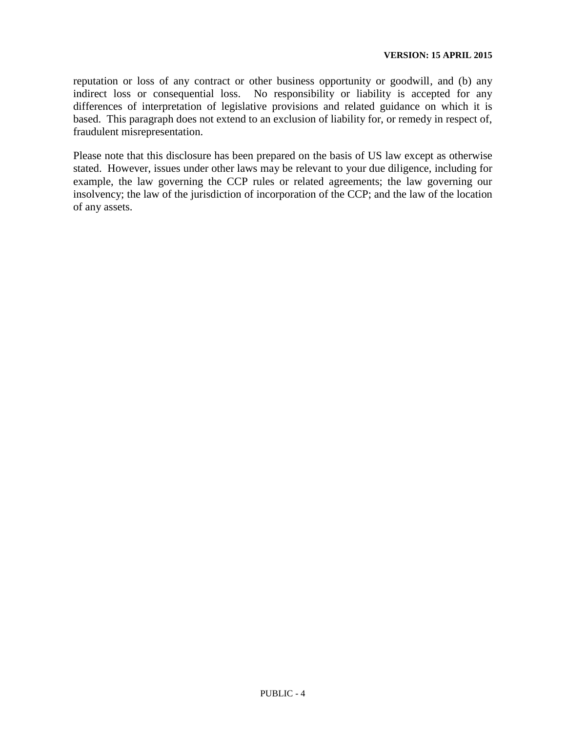reputation or loss of any contract or other business opportunity or goodwill, and (b) any indirect loss or consequential loss. No responsibility or liability is accepted for any differences of interpretation of legislative provisions and related guidance on which it is based. This paragraph does not extend to an exclusion of liability for, or remedy in respect of, fraudulent misrepresentation.

Please note that this disclosure has been prepared on the basis of US law except as otherwise stated. However, issues under other laws may be relevant to your due diligence, including for example, the law governing the CCP rules or related agreements; the law governing our insolvency; the law of the jurisdiction of incorporation of the CCP; and the law of the location of any assets.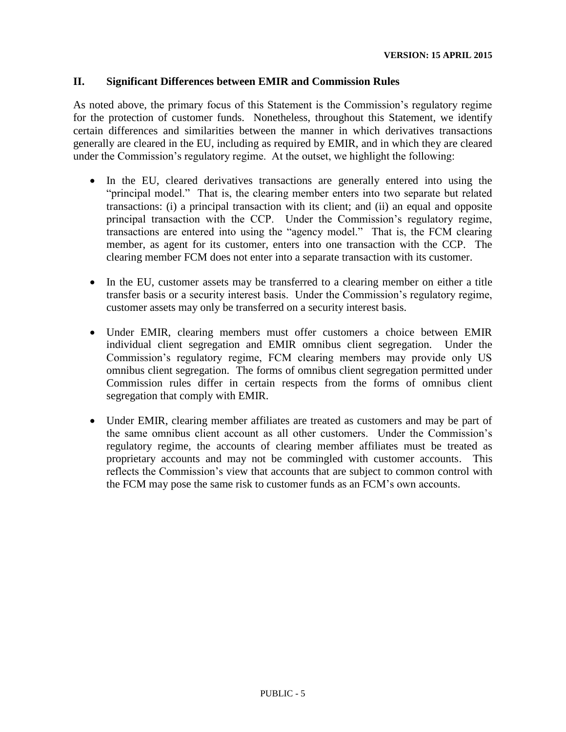#### **II. Significant Differences between EMIR and Commission Rules**

As noted above, the primary focus of this Statement is the Commission's regulatory regime for the protection of customer funds. Nonetheless, throughout this Statement, we identify certain differences and similarities between the manner in which derivatives transactions generally are cleared in the EU, including as required by EMIR, and in which they are cleared under the Commission's regulatory regime. At the outset, we highlight the following:

- In the EU, cleared derivatives transactions are generally entered into using the "principal model." That is, the clearing member enters into two separate but related transactions: (i) a principal transaction with its client; and (ii) an equal and opposite principal transaction with the CCP. Under the Commission's regulatory regime, transactions are entered into using the "agency model." That is, the FCM clearing member, as agent for its customer, enters into one transaction with the CCP. The clearing member FCM does not enter into a separate transaction with its customer.
- In the EU, customer assets may be transferred to a clearing member on either a title transfer basis or a security interest basis. Under the Commission's regulatory regime, customer assets may only be transferred on a security interest basis.
- Under EMIR, clearing members must offer customers a choice between EMIR individual client segregation and EMIR omnibus client segregation. Under the Commission's regulatory regime, FCM clearing members may provide only US omnibus client segregation. The forms of omnibus client segregation permitted under Commission rules differ in certain respects from the forms of omnibus client segregation that comply with EMIR.
- Under EMIR, clearing member affiliates are treated as customers and may be part of the same omnibus client account as all other customers. Under the Commission's regulatory regime, the accounts of clearing member affiliates must be treated as proprietary accounts and may not be commingled with customer accounts. This reflects the Commission's view that accounts that are subject to common control with the FCM may pose the same risk to customer funds as an FCM's own accounts.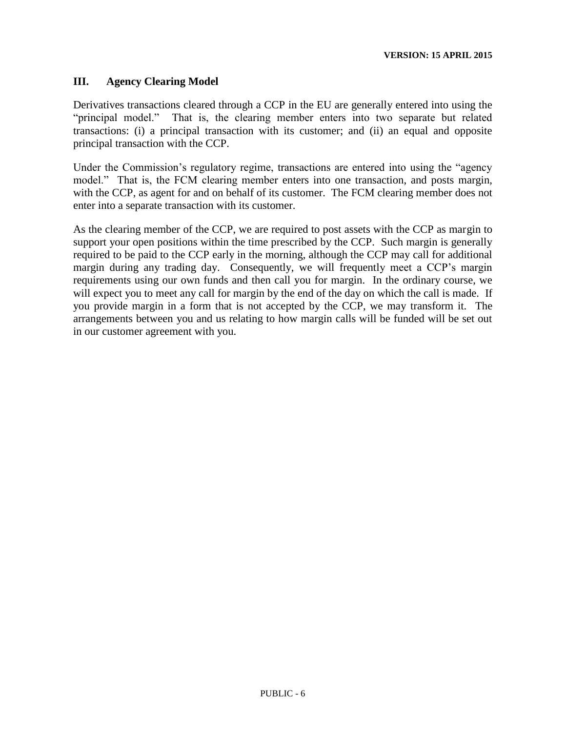### **III. Agency Clearing Model**

Derivatives transactions cleared through a CCP in the EU are generally entered into using the "principal model." That is, the clearing member enters into two separate but related transactions: (i) a principal transaction with its customer; and (ii) an equal and opposite principal transaction with the CCP.

Under the Commission's regulatory regime, transactions are entered into using the "agency model." That is, the FCM clearing member enters into one transaction, and posts margin, with the CCP, as agent for and on behalf of its customer. The FCM clearing member does not enter into a separate transaction with its customer.

As the clearing member of the CCP, we are required to post assets with the CCP as margin to support your open positions within the time prescribed by the CCP. Such margin is generally required to be paid to the CCP early in the morning, although the CCP may call for additional margin during any trading day. Consequently, we will frequently meet a CCP's margin requirements using our own funds and then call you for margin. In the ordinary course, we will expect you to meet any call for margin by the end of the day on which the call is made. If you provide margin in a form that is not accepted by the CCP, we may transform it. The arrangements between you and us relating to how margin calls will be funded will be set out in our customer agreement with you.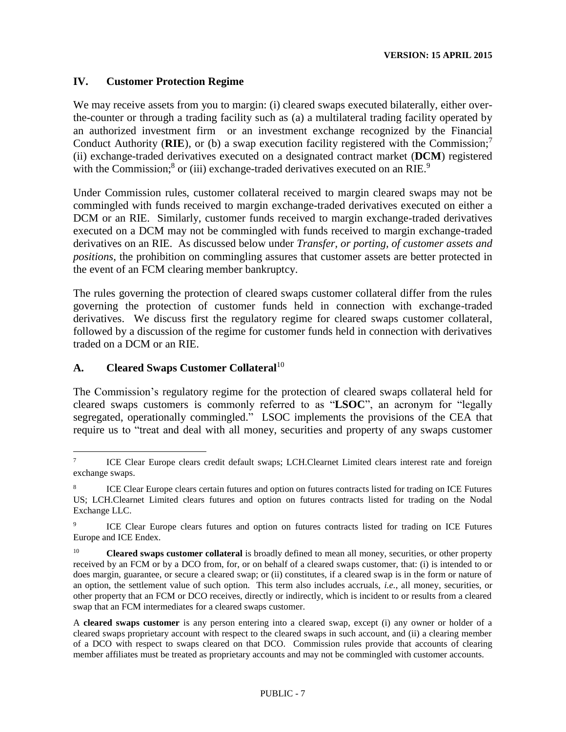### **IV. Customer Protection Regime**

We may receive assets from you to margin: (i) cleared swaps executed bilaterally, either overthe-counter or through a trading facility such as (a) a multilateral trading facility operated by an authorized investment firm or an investment exchange recognized by the Financial Conduct Authority (**RIE**), or (b) a swap execution facility registered with the Commission;<sup>7</sup> (ii) exchange-traded derivatives executed on a designated contract market (**DCM**) registered with the Commission;<sup>8</sup> or (iii) exchange-traded derivatives executed on an RIE.<sup>9</sup>

Under Commission rules, customer collateral received to margin cleared swaps may not be commingled with funds received to margin exchange-traded derivatives executed on either a DCM or an RIE. Similarly, customer funds received to margin exchange-traded derivatives executed on a DCM may not be commingled with funds received to margin exchange-traded derivatives on an RIE. As discussed below under *Transfer, or porting, of customer assets and positions*, the prohibition on commingling assures that customer assets are better protected in the event of an FCM clearing member bankruptcy.

The rules governing the protection of cleared swaps customer collateral differ from the rules governing the protection of customer funds held in connection with exchange-traded derivatives. We discuss first the regulatory regime for cleared swaps customer collateral, followed by a discussion of the regime for customer funds held in connection with derivatives traded on a DCM or an RIE.

# **A. Cleared Swaps Customer Collateral**<sup>10</sup>

The Commission's regulatory regime for the protection of cleared swaps collateral held for cleared swaps customers is commonly referred to as "**LSOC**", an acronym for "legally segregated, operationally commingled." LSOC implements the provisions of the CEA that require us to "treat and deal with all money, securities and property of any swaps customer

 $\overline{a}$ 7 ICE Clear Europe clears credit default swaps; LCH.Clearnet Limited clears interest rate and foreign exchange swaps.

<sup>8</sup> ICE Clear Europe clears certain futures and option on futures contracts listed for trading on ICE Futures US; LCH.Clearnet Limited clears futures and option on futures contracts listed for trading on the Nodal Exchange LLC.

<sup>9</sup> ICE Clear Europe clears futures and option on futures contracts listed for trading on ICE Futures Europe and ICE Endex.

<sup>&</sup>lt;sup>10</sup> **Cleared swaps customer collateral** is broadly defined to mean all money, securities, or other property received by an FCM or by a DCO from, for, or on behalf of a cleared swaps customer, that: (i) is intended to or does margin, guarantee, or secure a cleared swap; or (ii) constitutes, if a cleared swap is in the form or nature of an option, the settlement value of such option. This term also includes accruals, *i.e.*, all money, securities, or other property that an FCM or DCO receives, directly or indirectly, which is incident to or results from a cleared swap that an FCM intermediates for a cleared swaps customer.

A **cleared swaps customer** is any person entering into a cleared swap, except (i) any owner or holder of a cleared swaps proprietary account with respect to the cleared swaps in such account, and (ii) a clearing member of a DCO with respect to swaps cleared on that DCO. Commission rules provide that accounts of clearing member affiliates must be treated as proprietary accounts and may not be commingled with customer accounts.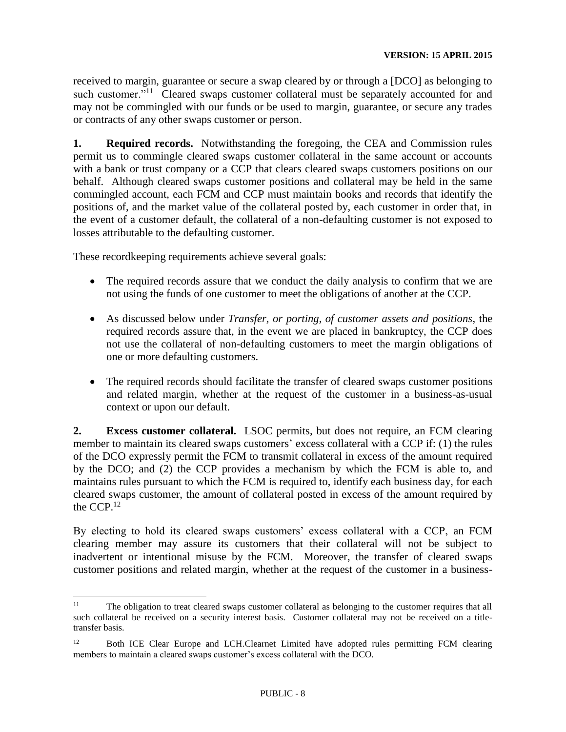received to margin, guarantee or secure a swap cleared by or through a [DCO] as belonging to such customer."<sup>11</sup> Cleared swaps customer collateral must be separately accounted for and may not be commingled with our funds or be used to margin, guarantee, or secure any trades or contracts of any other swaps customer or person.

**1. Required records.** Notwithstanding the foregoing, the CEA and Commission rules permit us to commingle cleared swaps customer collateral in the same account or accounts with a bank or trust company or a CCP that clears cleared swaps customers positions on our behalf. Although cleared swaps customer positions and collateral may be held in the same commingled account, each FCM and CCP must maintain books and records that identify the positions of, and the market value of the collateral posted by, each customer in order that, in the event of a customer default, the collateral of a non-defaulting customer is not exposed to losses attributable to the defaulting customer.

These recordkeeping requirements achieve several goals:

- The required records assure that we conduct the daily analysis to confirm that we are not using the funds of one customer to meet the obligations of another at the CCP.
- As discussed below under *Transfer, or porting, of customer assets and positions*, the required records assure that, in the event we are placed in bankruptcy, the CCP does not use the collateral of non-defaulting customers to meet the margin obligations of one or more defaulting customers.
- The required records should facilitate the transfer of cleared swaps customer positions and related margin, whether at the request of the customer in a business-as-usual context or upon our default.

**2. Excess customer collateral.** LSOC permits, but does not require, an FCM clearing member to maintain its cleared swaps customers' excess collateral with a CCP if: (1) the rules of the DCO expressly permit the FCM to transmit collateral in excess of the amount required by the DCO; and (2) the CCP provides a mechanism by which the FCM is able to, and maintains rules pursuant to which the FCM is required to, identify each business day, for each cleared swaps customer, the amount of collateral posted in excess of the amount required by the CCP. $^{12}$ 

By electing to hold its cleared swaps customers' excess collateral with a CCP, an FCM clearing member may assure its customers that their collateral will not be subject to inadvertent or intentional misuse by the FCM. Moreover, the transfer of cleared swaps customer positions and related margin, whether at the request of the customer in a business-

 $11 -$ <sup>11</sup> The obligation to treat cleared swaps customer collateral as belonging to the customer requires that all such collateral be received on a security interest basis. Customer collateral may not be received on a titletransfer basis.

 $12$  Both ICE Clear Europe and LCH. Clearnet Limited have adopted rules permitting FCM clearing members to maintain a cleared swaps customer's excess collateral with the DCO.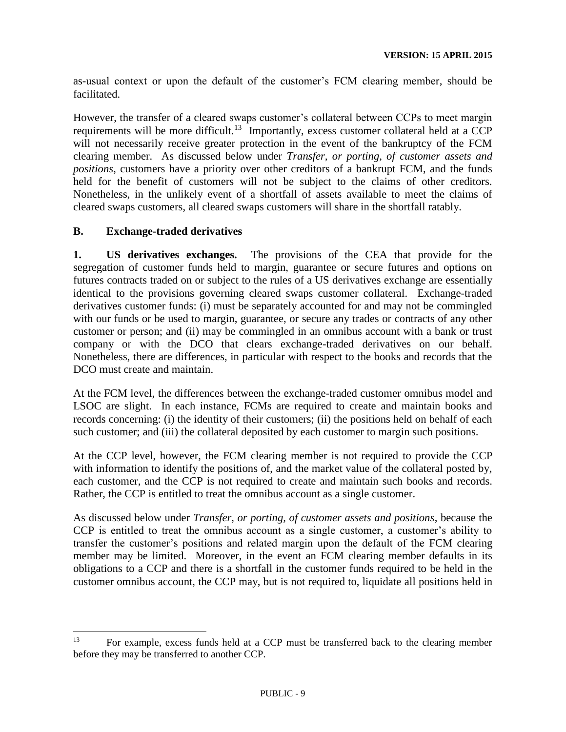as-usual context or upon the default of the customer's FCM clearing member, should be facilitated.

However, the transfer of a cleared swaps customer's collateral between CCPs to meet margin requirements will be more difficult.<sup>13</sup> Importantly, excess customer collateral held at a CCP will not necessarily receive greater protection in the event of the bankruptcy of the FCM clearing member. As discussed below under *Transfer, or porting, of customer assets and positions*, customers have a priority over other creditors of a bankrupt FCM, and the funds held for the benefit of customers will not be subject to the claims of other creditors. Nonetheless, in the unlikely event of a shortfall of assets available to meet the claims of cleared swaps customers, all cleared swaps customers will share in the shortfall ratably.

# **B. Exchange-traded derivatives**

 $\overline{a}$ 

**1. US derivatives exchanges.** The provisions of the CEA that provide for the segregation of customer funds held to margin, guarantee or secure futures and options on futures contracts traded on or subject to the rules of a US derivatives exchange are essentially identical to the provisions governing cleared swaps customer collateral. Exchange-traded derivatives customer funds: (i) must be separately accounted for and may not be commingled with our funds or be used to margin, guarantee, or secure any trades or contracts of any other customer or person; and (ii) may be commingled in an omnibus account with a bank or trust company or with the DCO that clears exchange-traded derivatives on our behalf. Nonetheless, there are differences, in particular with respect to the books and records that the DCO must create and maintain.

At the FCM level, the differences between the exchange-traded customer omnibus model and LSOC are slight. In each instance, FCMs are required to create and maintain books and records concerning: (i) the identity of their customers; (ii) the positions held on behalf of each such customer; and (iii) the collateral deposited by each customer to margin such positions.

At the CCP level, however, the FCM clearing member is not required to provide the CCP with information to identify the positions of, and the market value of the collateral posted by, each customer, and the CCP is not required to create and maintain such books and records. Rather, the CCP is entitled to treat the omnibus account as a single customer.

As discussed below under *Transfer, or porting, of customer assets and positions*, because the CCP is entitled to treat the omnibus account as a single customer, a customer's ability to transfer the customer's positions and related margin upon the default of the FCM clearing member may be limited. Moreover, in the event an FCM clearing member defaults in its obligations to a CCP and there is a shortfall in the customer funds required to be held in the customer omnibus account, the CCP may, but is not required to, liquidate all positions held in

<sup>13</sup> For example, excess funds held at a CCP must be transferred back to the clearing member before they may be transferred to another CCP.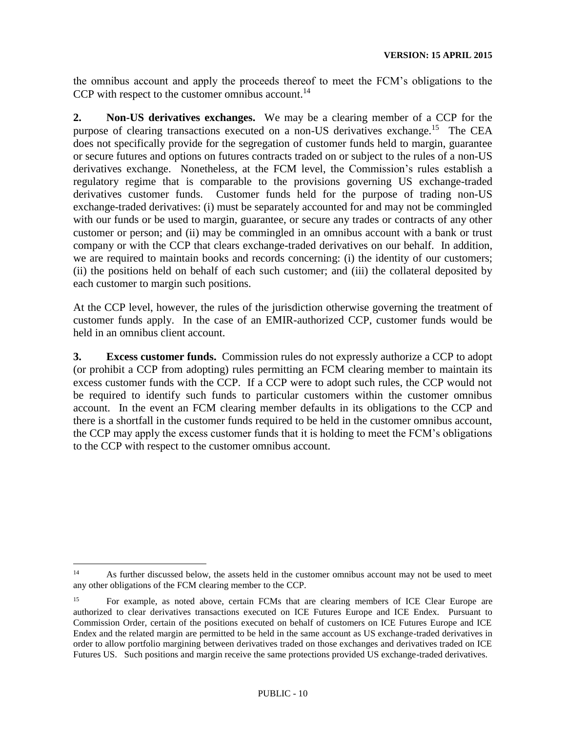the omnibus account and apply the proceeds thereof to meet the FCM's obligations to the CCP with respect to the customer omnibus account.<sup>14</sup>

**2. Non-US derivatives exchanges.** We may be a clearing member of a CCP for the purpose of clearing transactions executed on a non-US derivatives exchange.<sup>15</sup> The CEA does not specifically provide for the segregation of customer funds held to margin, guarantee or secure futures and options on futures contracts traded on or subject to the rules of a non-US derivatives exchange. Nonetheless, at the FCM level, the Commission's rules establish a regulatory regime that is comparable to the provisions governing US exchange-traded derivatives customer funds. Customer funds held for the purpose of trading non-US exchange-traded derivatives: (i) must be separately accounted for and may not be commingled with our funds or be used to margin, guarantee, or secure any trades or contracts of any other customer or person; and (ii) may be commingled in an omnibus account with a bank or trust company or with the CCP that clears exchange-traded derivatives on our behalf. In addition, we are required to maintain books and records concerning: (i) the identity of our customers; (ii) the positions held on behalf of each such customer; and (iii) the collateral deposited by each customer to margin such positions.

At the CCP level, however, the rules of the jurisdiction otherwise governing the treatment of customer funds apply. In the case of an EMIR-authorized CCP, customer funds would be held in an omnibus client account.

**3. Excess customer funds.** Commission rules do not expressly authorize a CCP to adopt (or prohibit a CCP from adopting) rules permitting an FCM clearing member to maintain its excess customer funds with the CCP. If a CCP were to adopt such rules, the CCP would not be required to identify such funds to particular customers within the customer omnibus account. In the event an FCM clearing member defaults in its obligations to the CCP and there is a shortfall in the customer funds required to be held in the customer omnibus account, the CCP may apply the excess customer funds that it is holding to meet the FCM's obligations to the CCP with respect to the customer omnibus account.

<sup>&</sup>lt;sup>14</sup> As further discussed below, the assets held in the customer omnibus account may not be used to meet any other obligations of the FCM clearing member to the CCP.

<sup>15</sup> For example, as noted above, certain FCMs that are clearing members of ICE Clear Europe are authorized to clear derivatives transactions executed on ICE Futures Europe and ICE Endex. Pursuant to Commission Order, certain of the positions executed on behalf of customers on ICE Futures Europe and ICE Endex and the related margin are permitted to be held in the same account as US exchange-traded derivatives in order to allow portfolio margining between derivatives traded on those exchanges and derivatives traded on ICE Futures US. Such positions and margin receive the same protections provided US exchange-traded derivatives.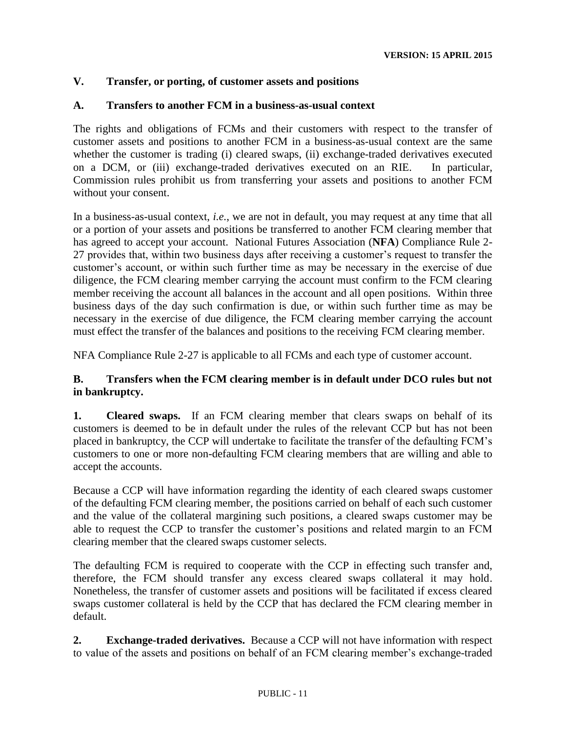### **V. Transfer, or porting, of customer assets and positions**

### **A. Transfers to another FCM in a business-as-usual context**

The rights and obligations of FCMs and their customers with respect to the transfer of customer assets and positions to another FCM in a business-as-usual context are the same whether the customer is trading (i) cleared swaps, (ii) exchange-traded derivatives executed on a DCM, or (iii) exchange-traded derivatives executed on an RIE. In particular, Commission rules prohibit us from transferring your assets and positions to another FCM without your consent.

In a business-as-usual context, *i.e.*, we are not in default, you may request at any time that all or a portion of your assets and positions be transferred to another FCM clearing member that has agreed to accept your account. National Futures Association (**NFA**) Compliance Rule 2- 27 provides that, within two business days after receiving a customer's request to transfer the customer's account, or within such further time as may be necessary in the exercise of due diligence, the FCM clearing member carrying the account must confirm to the FCM clearing member receiving the account all balances in the account and all open positions. Within three business days of the day such confirmation is due, or within such further time as may be necessary in the exercise of due diligence, the FCM clearing member carrying the account must effect the transfer of the balances and positions to the receiving FCM clearing member.

NFA Compliance Rule 2-27 is applicable to all FCMs and each type of customer account.

# **B. Transfers when the FCM clearing member is in default under DCO rules but not in bankruptcy.**

**1. Cleared swaps.** If an FCM clearing member that clears swaps on behalf of its customers is deemed to be in default under the rules of the relevant CCP but has not been placed in bankruptcy, the CCP will undertake to facilitate the transfer of the defaulting FCM's customers to one or more non-defaulting FCM clearing members that are willing and able to accept the accounts.

Because a CCP will have information regarding the identity of each cleared swaps customer of the defaulting FCM clearing member, the positions carried on behalf of each such customer and the value of the collateral margining such positions, a cleared swaps customer may be able to request the CCP to transfer the customer's positions and related margin to an FCM clearing member that the cleared swaps customer selects.

The defaulting FCM is required to cooperate with the CCP in effecting such transfer and, therefore, the FCM should transfer any excess cleared swaps collateral it may hold. Nonetheless, the transfer of customer assets and positions will be facilitated if excess cleared swaps customer collateral is held by the CCP that has declared the FCM clearing member in default.

**2. Exchange-traded derivatives.** Because a CCP will not have information with respect to value of the assets and positions on behalf of an FCM clearing member's exchange-traded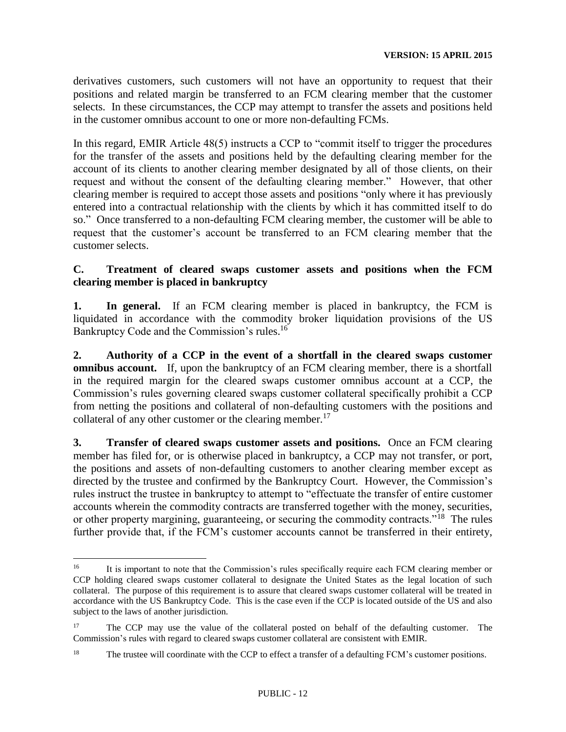derivatives customers, such customers will not have an opportunity to request that their positions and related margin be transferred to an FCM clearing member that the customer selects. In these circumstances, the CCP may attempt to transfer the assets and positions held in the customer omnibus account to one or more non-defaulting FCMs.

In this regard, EMIR Article 48(5) instructs a CCP to "commit itself to trigger the procedures for the transfer of the assets and positions held by the defaulting clearing member for the account of its clients to another clearing member designated by all of those clients, on their request and without the consent of the defaulting clearing member." However, that other clearing member is required to accept those assets and positions "only where it has previously entered into a contractual relationship with the clients by which it has committed itself to do so." Once transferred to a non-defaulting FCM clearing member, the customer will be able to request that the customer's account be transferred to an FCM clearing member that the customer selects.

### **C. Treatment of cleared swaps customer assets and positions when the FCM clearing member is placed in bankruptcy**

**1. In general.** If an FCM clearing member is placed in bankruptcy, the FCM is liquidated in accordance with the commodity broker liquidation provisions of the US Bankruptcy Code and the Commission's rules.<sup>16</sup>

**2. Authority of a CCP in the event of a shortfall in the cleared swaps customer omnibus account.** If, upon the bankruptcy of an FCM clearing member, there is a shortfall in the required margin for the cleared swaps customer omnibus account at a CCP, the Commission's rules governing cleared swaps customer collateral specifically prohibit a CCP from netting the positions and collateral of non-defaulting customers with the positions and collateral of any other customer or the clearing member.<sup>17</sup>

**3. Transfer of cleared swaps customer assets and positions.** Once an FCM clearing member has filed for, or is otherwise placed in bankruptcy, a CCP may not transfer, or port, the positions and assets of non-defaulting customers to another clearing member except as directed by the trustee and confirmed by the Bankruptcy Court. However, the Commission's rules instruct the trustee in bankruptcy to attempt to "effectuate the transfer of entire customer accounts wherein the commodity contracts are transferred together with the money, securities, or other property margining, guaranteeing, or securing the commodity contracts."<sup>18</sup> The rules further provide that, if the FCM's customer accounts cannot be transferred in their entirety,

<sup>&</sup>lt;sup>16</sup> It is important to note that the Commission's rules specifically require each FCM clearing member or CCP holding cleared swaps customer collateral to designate the United States as the legal location of such collateral. The purpose of this requirement is to assure that cleared swaps customer collateral will be treated in accordance with the US Bankruptcy Code. This is the case even if the CCP is located outside of the US and also subject to the laws of another jurisdiction.

<sup>&</sup>lt;sup>17</sup> The CCP may use the value of the collateral posted on behalf of the defaulting customer. The Commission's rules with regard to cleared swaps customer collateral are consistent with EMIR.

<sup>&</sup>lt;sup>18</sup> The trustee will coordinate with the CCP to effect a transfer of a defaulting FCM's customer positions.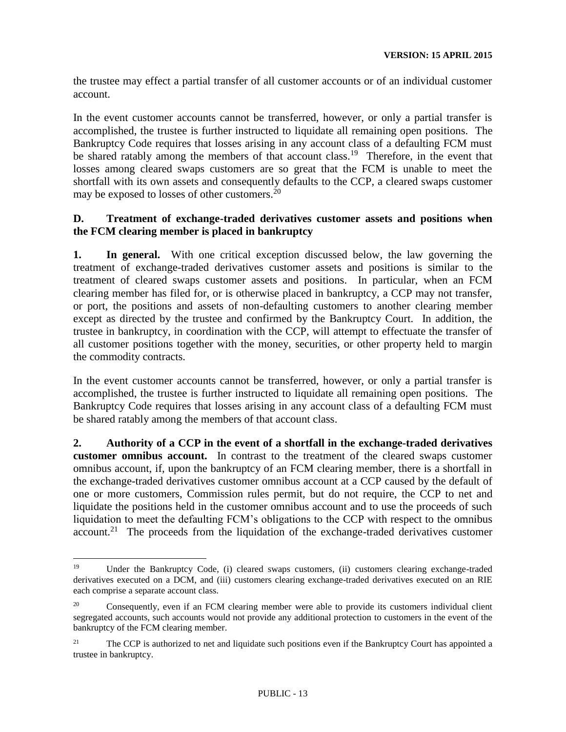the trustee may effect a partial transfer of all customer accounts or of an individual customer account.

In the event customer accounts cannot be transferred, however, or only a partial transfer is accomplished, the trustee is further instructed to liquidate all remaining open positions. The Bankruptcy Code requires that losses arising in any account class of a defaulting FCM must be shared ratably among the members of that account class.<sup>19</sup> Therefore, in the event that losses among cleared swaps customers are so great that the FCM is unable to meet the shortfall with its own assets and consequently defaults to the CCP, a cleared swaps customer may be exposed to losses of other customers.<sup>20</sup>

# **D. Treatment of exchange-traded derivatives customer assets and positions when the FCM clearing member is placed in bankruptcy**

**1. In general.** With one critical exception discussed below, the law governing the treatment of exchange-traded derivatives customer assets and positions is similar to the treatment of cleared swaps customer assets and positions. In particular, when an FCM clearing member has filed for, or is otherwise placed in bankruptcy, a CCP may not transfer, or port, the positions and assets of non-defaulting customers to another clearing member except as directed by the trustee and confirmed by the Bankruptcy Court. In addition, the trustee in bankruptcy, in coordination with the CCP, will attempt to effectuate the transfer of all customer positions together with the money, securities, or other property held to margin the commodity contracts.

In the event customer accounts cannot be transferred, however, or only a partial transfer is accomplished, the trustee is further instructed to liquidate all remaining open positions. The Bankruptcy Code requires that losses arising in any account class of a defaulting FCM must be shared ratably among the members of that account class.

**2. Authority of a CCP in the event of a shortfall in the exchange-traded derivatives customer omnibus account.** In contrast to the treatment of the cleared swaps customer omnibus account, if, upon the bankruptcy of an FCM clearing member, there is a shortfall in the exchange-traded derivatives customer omnibus account at a CCP caused by the default of one or more customers, Commission rules permit, but do not require, the CCP to net and liquidate the positions held in the customer omnibus account and to use the proceeds of such liquidation to meet the defaulting FCM's obligations to the CCP with respect to the omnibus account.<sup>21</sup> The proceeds from the liquidation of the exchange-traded derivatives customer

<sup>&</sup>lt;sup>19</sup> Under the Bankruptcy Code, (i) cleared swaps customers, (ii) customers clearing exchange-traded derivatives executed on a DCM, and (iii) customers clearing exchange-traded derivatives executed on an RIE each comprise a separate account class.

<sup>&</sup>lt;sup>20</sup> Consequently, even if an FCM clearing member were able to provide its customers individual client segregated accounts, such accounts would not provide any additional protection to customers in the event of the bankruptcy of the FCM clearing member.

<sup>&</sup>lt;sup>21</sup> The CCP is authorized to net and liquidate such positions even if the Bankruptcy Court has appointed a trustee in bankruptcy.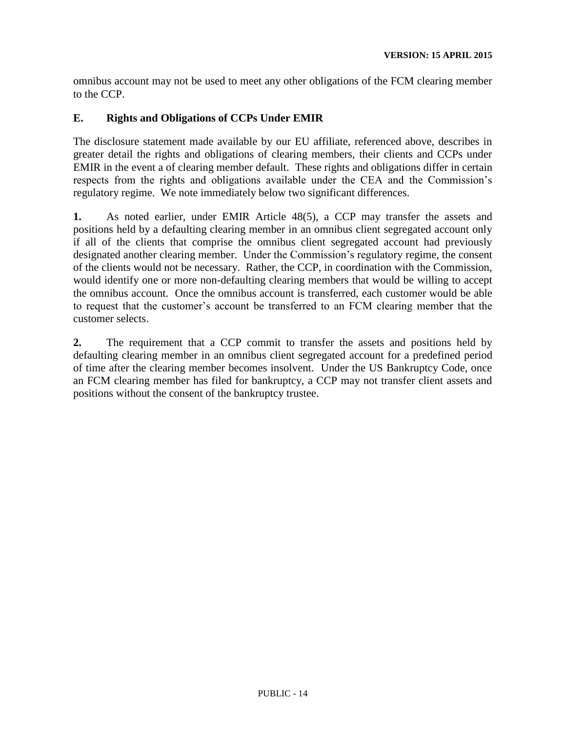omnibus account may not be used to meet any other obligations of the FCM clearing member to the CCP.

### **E. Rights and Obligations of CCPs Under EMIR**

The disclosure statement made available by our EU affiliate, referenced above, describes in greater detail the rights and obligations of clearing members, their clients and CCPs under EMIR in the event a of clearing member default. These rights and obligations differ in certain respects from the rights and obligations available under the CEA and the Commission's regulatory regime. We note immediately below two significant differences.

**1.** As noted earlier, under EMIR Article 48(5), a CCP may transfer the assets and positions held by a defaulting clearing member in an omnibus client segregated account only if all of the clients that comprise the omnibus client segregated account had previously designated another clearing member. Under the Commission's regulatory regime, the consent of the clients would not be necessary. Rather, the CCP, in coordination with the Commission, would identify one or more non-defaulting clearing members that would be willing to accept the omnibus account. Once the omnibus account is transferred, each customer would be able to request that the customer's account be transferred to an FCM clearing member that the customer selects.

**2.** The requirement that a CCP commit to transfer the assets and positions held by defaulting clearing member in an omnibus client segregated account for a predefined period of time after the clearing member becomes insolvent. Under the US Bankruptcy Code, once an FCM clearing member has filed for bankruptcy, a CCP may not transfer client assets and positions without the consent of the bankruptcy trustee.